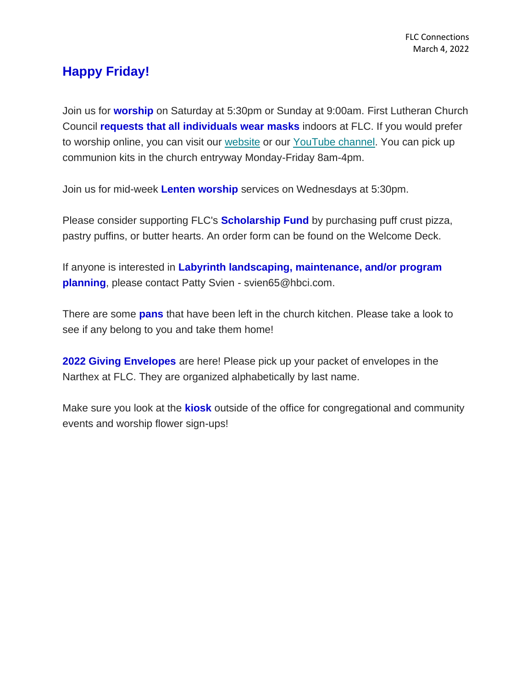## **Happy Friday!**

Join us for **worship** on Saturday at 5:30pm or Sunday at 9:00am. First Lutheran Church Council **requests that all individuals wear masks** indoors at FLC. If you would prefer to worship online, you can visit our [website](https://www.firstlc.org/index.php?) or our [YouTube channel.](https://www.youtube.com/channel/UC9XdNg_hQSX1DHMunNI8WQw/featured) You can pick up communion kits in the church entryway Monday-Friday 8am-4pm.

Join us for mid-week **Lenten worship** services on Wednesdays at 5:30pm.

Please consider supporting FLC's **Scholarship Fund** by purchasing puff crust pizza, pastry puffins, or butter hearts. An order form can be found on the Welcome Deck.

If anyone is interested in **Labyrinth landscaping, maintenance, and/or program planning**, please contact Patty Svien - svien65@hbci.com.

There are some **pans** that have been left in the church kitchen. Please take a look to see if any belong to you and take them home!

**2022 Giving Envelopes** are here! Please pick up your packet of envelopes in the Narthex at FLC. They are organized alphabetically by last name.

Make sure you look at the **kiosk** outside of the office for congregational and community events and worship flower sign-ups!